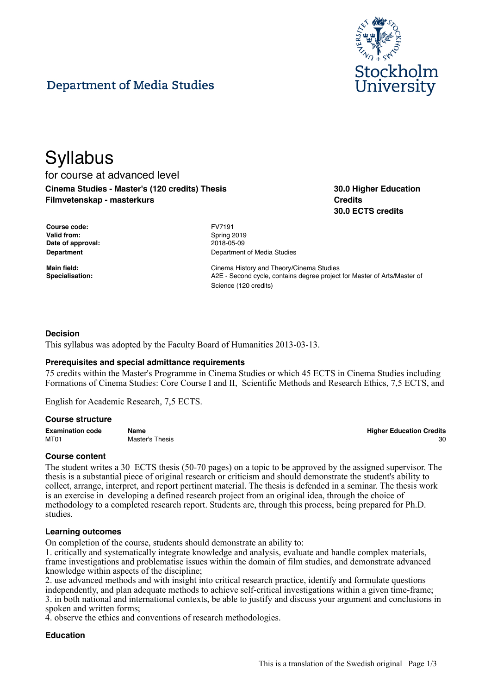

# **Department of Media Studies**

# **Syllabus** for course at advanced level **Cinema Studies - Master's (120 credits) Thesis Filmvetenskap - masterkurs**

**30.0 Higher Education Credits 30.0 ECTS credits**

| Course code:      |
|-------------------|
| Valid from:       |
| Date of approval: |
| Department        |

**Course code:** FV7191 **Valid from:** Spring 2019 **Date of approval:** 2018-05-09 **Department of Media Studies** 

**Main field:** Cinema History and Theory/Cinema Studies **Specialisation:** A2E - Second cycle, contains degree project for Master of Arts/Master of Science (120 credits)

## **Decision**

This syllabus was adopted by the Faculty Board of Humanities 2013-03-13.

## **Prerequisites and special admittance requirements**

75 credits within the Master's Programme in Cinema Studies or which 45 ECTS in Cinema Studies including Formations of Cinema Studies: Core Course I and II, Scientific Methods and Research Ethics, 7,5 ECTS, and

English for Academic Research, 7,5 ECTS.

#### **Course structure**

**Examination code Name Higher Education Credits** MT01 Master's Thesis 30 and 200 and 200 and 200 and 200 and 200 and 200 and 200 and 200 and 200 and 200 and 20

## **Course content**

The student writes a 30 ECTS thesis (50-70 pages) on a topic to be approved by the assigned supervisor. The thesis is a substantial piece of original research or criticism and should demonstrate the student's ability to collect, arrange, interpret, and report pertinent material. The thesis is defended in a seminar. The thesis work is an exercise in developing a defined research project from an original idea, through the choice of methodology to a completed research report. Students are, through this process, being prepared for Ph.D. studies.

#### **Learning outcomes**

On completion of the course, students should demonstrate an ability to:

1. critically and systematically integrate knowledge and analysis, evaluate and handle complex materials, frame investigations and problematise issues within the domain of film studies, and demonstrate advanced knowledge within aspects of the discipline;

2. use advanced methods and with insight into critical research practice, identify and formulate questions independently, and plan adequate methods to achieve self-critical investigations within a given time-frame; 3. in both national and international contexts, be able to justify and discuss your argument and conclusions in spoken and written forms;

4. observe the ethics and conventions of research methodologies.

## **Education**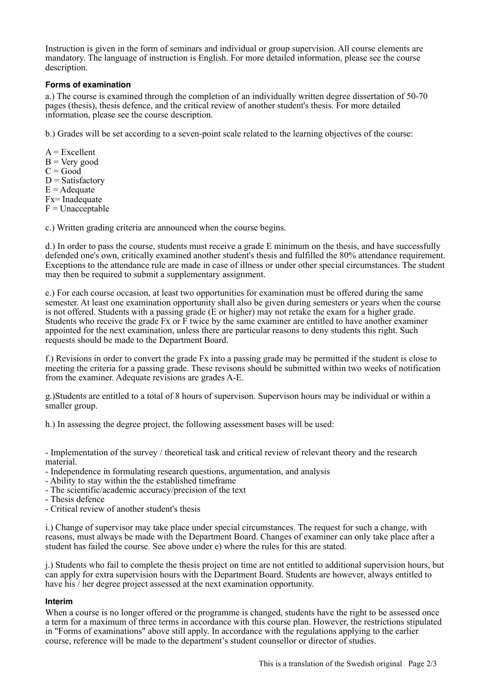Instruction is given in the form of seminars and individual or group supervision. All course elements are mandatory. The language of instruction is English. For more detailed information, please see the course description.

# **Forms of examination**

a.) The course is examined through the completion of an individually written degree dissertation of 50-70 pages (thesis), thesis defence, and the critical review of another student's thesis. For more detailed information, please see the course description.

b.) Grades will be set according to a seven-point scale related to the learning objectives of the course:

 $A = Excellent$  $B = V$ ery good  $C = Good$  $D = Satisfactory$  $E =$  Adequate Fx= Inadequate  $F =$ Unacceptable

c.) Written grading criteria are announced when the course begins.

d.) In order to pass the course, students must receive a grade E minimum on the thesis, and have successfully defended one's own, critically examined another student's thesis and fulfilled the 80% attendance requirement. Exceptions to the attendance rule are made in case of illness or under other special circumstances. The student may then be required to submit a supplementary assignment.

e.) For each course occasion, at least two opportunities for examination must be offered during the same semester. At least one examination opportunity shall also be given during semesters or years when the course is not offered. Students with a passing grade (E or higher) may not retake the exam for a higher grade. Students who receive the grade Fx or F twice by the same examiner are entitled to have another examiner appointed for the next examination, unless there are particular reasons to deny students this right. Such requests should be made to the Department Board.

f.) Revisions in order to convert the grade Fx into a passing grade may be permitted if the student is close to meeting the criteria for a passing grade. These revisons should be submitted within two weeks of notification from the examiner. Adequate revisions are grades A-E.

g.)Students are entitled to a total of 8 hours of supervison. Supervison hours may be individual or within a smaller group.

h.) In assessing the degree project, the following assessment bases will be used:

- Implementation of the survey / theoretical task and critical review of relevant theory and the research material.

- Independence in formulating research questions, argumentation, and analysis

- Ability to stay within the the established timeframe
- The scientific/academic accuracy/precision of the text
- Thesis defence
- Critical review of another student's thesis

i.) Change of supervisor may take place under special circumstances. The request for such a change, with reasons, must always be made with the Department Board. Changes of examiner can only take place after a student has failed the course. See above under e) where the rules for this are stated.

j.) Students who fail to complete the thesis project on time are not entitled to additional supervision hours, but can apply for extra supervision hours with the Department Board. Students are however, always entitled to have his / her degree project assessed at the next examination opportunity.

## **Interim**

When a course is no longer offered or the programme is changed, students have the right to be assessed once a term for a maximum of three terms in accordance with this course plan. However, the restrictions stipulated in "Forms of examinations" above still apply. In accordance with the regulations applying to the earlier course, reference will be made to the department's student counsellor or director of studies.